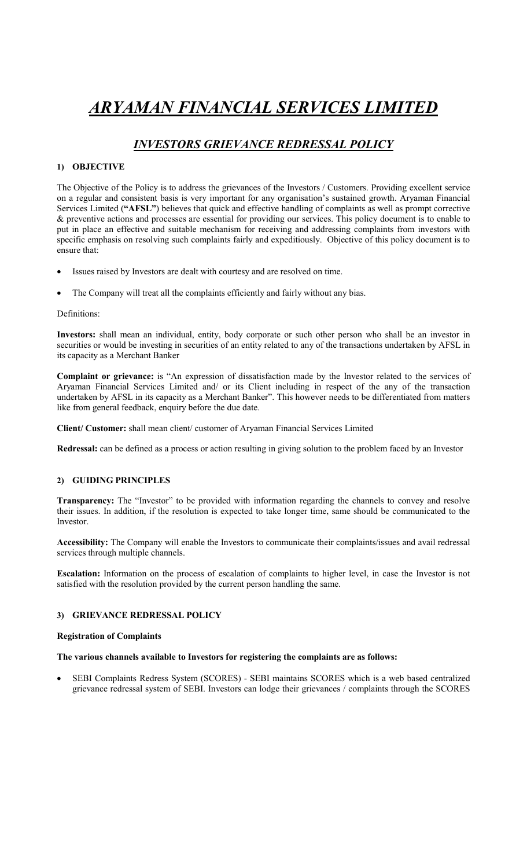# ARYAMAN FINANCIAL SERVICES LIMITED

## INVESTORS GRIEVANCE REDRESSAL POLICY

### 1) OBJECTIVE

The Objective of the Policy is to address the grievances of the Investors / Customers. Providing excellent service on a regular and consistent basis is very important for any organisation's sustained growth. Aryaman Financial Services Limited ("AFSL") believes that quick and effective handling of complaints as well as prompt corrective & preventive actions and processes are essential for providing our services. This policy document is to enable to put in place an effective and suitable mechanism for receiving and addressing complaints from investors with specific emphasis on resolving such complaints fairly and expeditiously. Objective of this policy document is to ensure that:

- Issues raised by Investors are dealt with courtesy and are resolved on time.
- The Company will treat all the complaints efficiently and fairly without any bias.

#### Definitions:

Investors: shall mean an individual, entity, body corporate or such other person who shall be an investor in securities or would be investing in securities of an entity related to any of the transactions undertaken by AFSL in its capacity as a Merchant Banker

Complaint or grievance: is "An expression of dissatisfaction made by the Investor related to the services of Aryaman Financial Services Limited and/ or its Client including in respect of the any of the transaction undertaken by AFSL in its capacity as a Merchant Banker". This however needs to be differentiated from matters like from general feedback, enquiry before the due date.

Client/ Customer: shall mean client/ customer of Aryaman Financial Services Limited

Redressal: can be defined as a process or action resulting in giving solution to the problem faced by an Investor

#### 2) GUIDING PRINCIPLES

Transparency: The "Investor" to be provided with information regarding the channels to convey and resolve their issues. In addition, if the resolution is expected to take longer time, same should be communicated to the Investor.

Accessibility: The Company will enable the Investors to communicate their complaints/issues and avail redressal services through multiple channels.

Escalation: Information on the process of escalation of complaints to higher level, in case the Investor is not satisfied with the resolution provided by the current person handling the same.

#### 3) GRIEVANCE REDRESSAL POLICY

#### Registration of Complaints

#### The various channels available to Investors for registering the complaints are as follows:

 SEBI Complaints Redress System (SCORES) - SEBI maintains SCORES which is a web based centralized grievance redressal system of SEBI. Investors can lodge their grievances / complaints through the SCORES